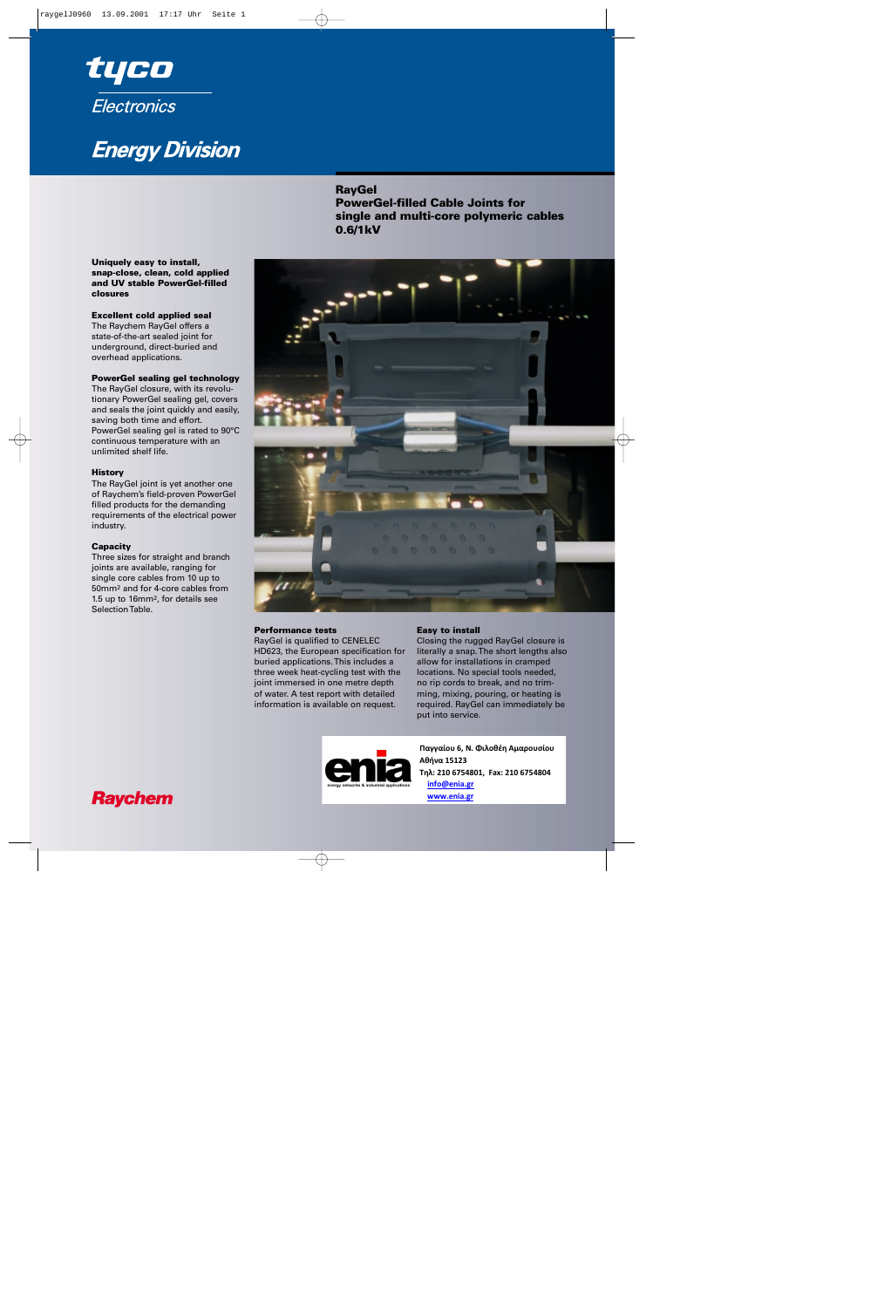

# **Energy Division**

## **RayGel**

**PowerGel-filled Cable Joints for single and multi-core polymeric cables 0.6/1kV**



### **Excellent cold applied seal**

The Raychem RayGel offers a state-of-the-art sealed joint for underground, direct-buried and overhead applications.

### **PowerGel sealing gel technology**

The RayGel closure, with its revolutionary PowerGel sealing gel, covers and seals the joint quickly and easily, saving both time and effort. PowerGel sealing gel is rated to 90°C continuous temperature with an unlimited shelf life.

#### **History**

The RayGel joint is yet another one of Raychem's field-proven PowerGel filled products for the demanding requirements of the electrical power industry.

#### **Capacity**

Three sizes for straight and branch joints are available, ranging for single core cables from 10 up to 50mm2 and for 4-core cables from 1.5 up to 16mm2, for details see Selection Table.



#### **Performance tests**

RayGel is qualified to CENELEC HD623, the European specification for buried applications. This includes a three week heat-cycling test with the joint immersed in one metre depth of water. A test report with detailed information is available on request.

#### **Easy to install**

Closing the rugged RayGel closure is literally a snap. The short lengths also allow for installations in cramped locations. No special tools needed, no rip cords to break, and no trimming, mixing, pouring, or heating is required. RayGel can immediately be put into service.



**Παγγαίου 6, Ν. Φιλοθέη Αμαρουσίου Αθήνα 15123 Τηλ: 210 6754801, Fax: 210 6754804 info@enia.gr www.enia.gr**